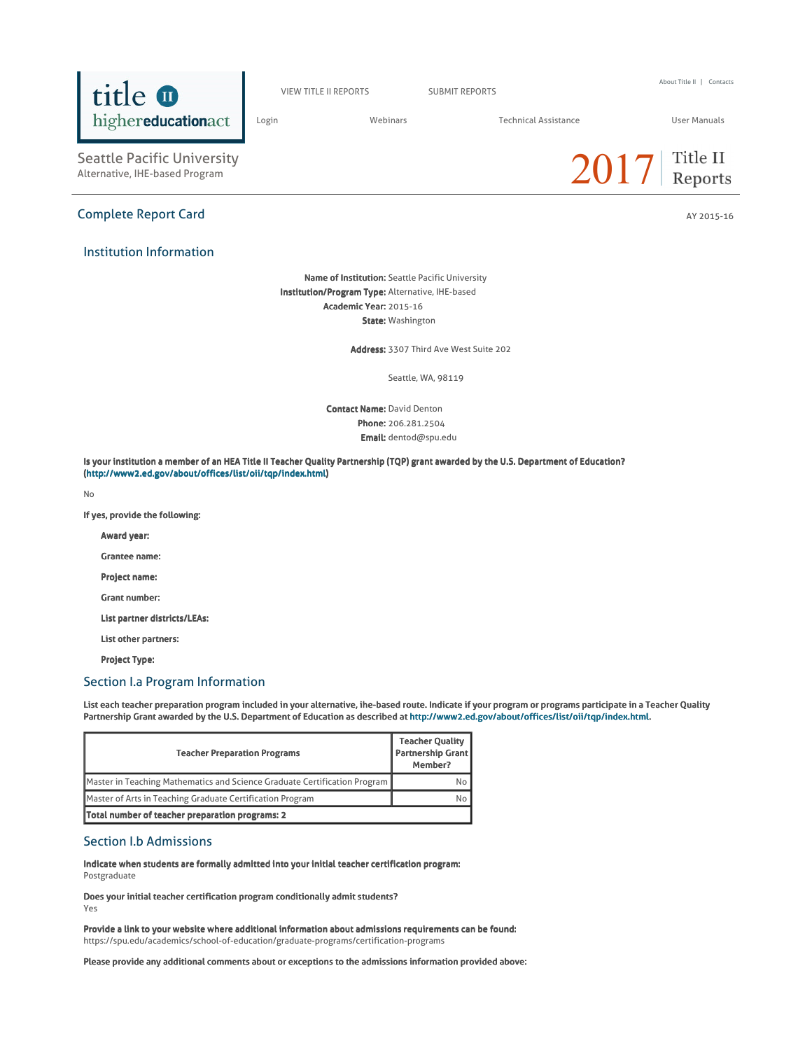

VIEW TITLE II REPORTS SUBMIT REPORTS

About Title II | Contacts

Login Webinars Technical Assistance User Manuals

Seattle Pacific University<br>Alternative, IHE-based Program

## Complete Report Card AY 2015-16

## Institution Information

Name of Institution: Seattle Pacific University Institution/Program Type: Alternative, IHE-based Academic Year: 2015-16 State: Washington

Address: 3307 Third Ave West Suite 202

Seattle, WA, 98119

**Contact Name: David Denton** Phone: 206.281.2504 Email: dentod@spu.edu

Is your institution a member of an HEA Title II Teacher Quality Partnership (TQP) grant awarded by the U.S. Department of Education? (http://www2.ed.gov/about/offices/list/oii/tqp/index.html)

No

If yes, provide the following:

Award year:

Grantee name:

Project name:

Grant number:

List partner districts/LEAs:

List other partners:

Project Type:

## Section I.a Program Information

List each teacher preparation program included in your alternative, ihe-based route. Indicate if your program or programs participate in a Teacher Quality Partnership Grant awarded by the U.S. Department of Education as described at http://www2.ed.gov/about/offices/list/oii/tqp/index.html.

| <b>Teacher Preparation Programs</b>                                       | <b>Teacher Quality</b><br><b>Partnership Grant</b><br>Member? |
|---------------------------------------------------------------------------|---------------------------------------------------------------|
| Master in Teaching Mathematics and Science Graduate Certification Program | No                                                            |
| Master of Arts in Teaching Graduate Certification Program                 | No                                                            |
| Total number of teacher preparation programs: 2                           |                                                               |

## Section I.b Admissions

Indicate when students are formally admitted into your initial teacher certification program: Postgraduate

Does your initial teacher certification program conditionally admit students?

Yes

Provide a link to your website where additional information about admissions requirements can be found: https://spu.edu/academics/school-of-education/graduate-programs/certification-programs

Please provide any additional comments about or exceptions to the admissions information provided above:

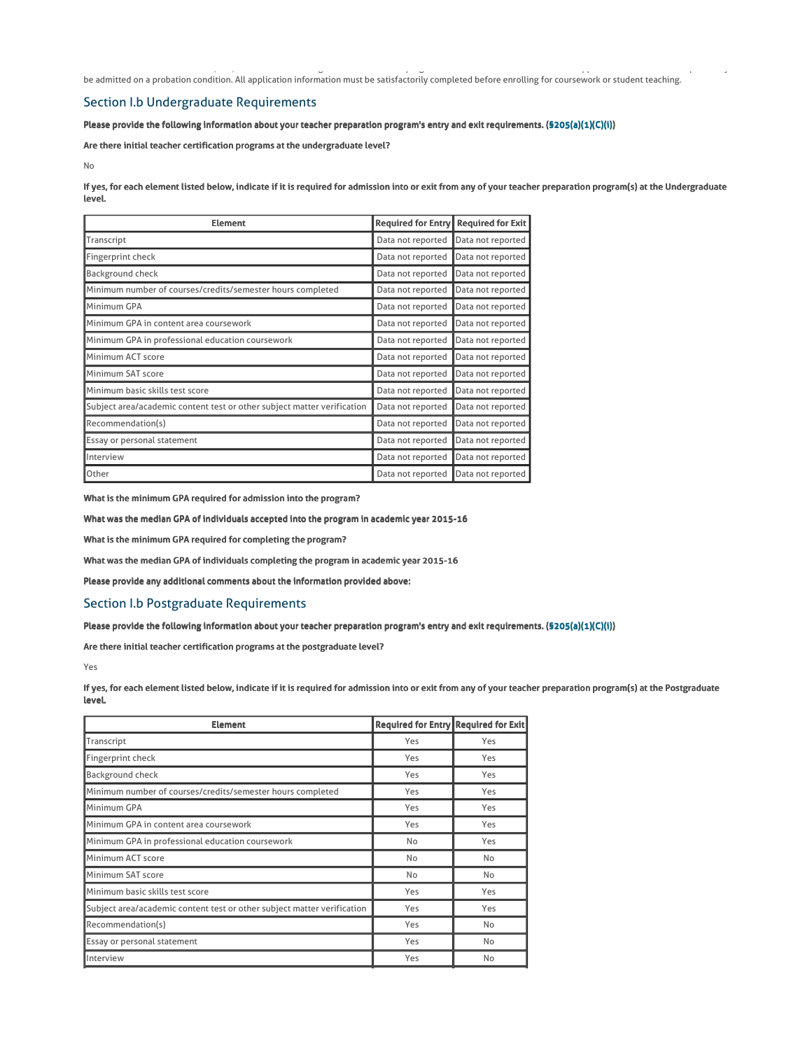be admitted on a probation condition. All application information must be satisfactorily completed before enrolling for coursework or student teaching.

Alternate Routes to Certification (ARC) is an Alternative IHE graduate certification program. ARC students who do not have all application information complete may

## Section I.b Undergraduate Requirements

Please provide the following information about your teacher preparation program's entry and exit requirements. (§205(a)(1)(C)(i))

Are there initial teacher certification programs at the undergraduate level?

No

If yes, for each element listed below, indicate if it is required for admission into or exit from any of your teacher preparation program(s) at the Undergraduate level.

| <b>Element</b>                                                          | <b>Required for Entry</b> | <b>Required for Exit</b> |  |
|-------------------------------------------------------------------------|---------------------------|--------------------------|--|
| Transcript                                                              | Data not reported         | Data not reported        |  |
| Fingerprint check                                                       | Data not reported         | Data not reported        |  |
| Background check                                                        | Data not reported         | Data not reported        |  |
| Minimum number of courses/credits/semester hours completed              | Data not reported         | Data not reported        |  |
| Minimum GPA                                                             | Data not reported         | Data not reported        |  |
| Minimum GPA in content area coursework                                  | Data not reported         | Data not reported        |  |
| Minimum GPA in professional education coursework                        | Data not reported         | Data not reported        |  |
| Minimum ACT score                                                       | Data not reported         | Data not reported        |  |
| Minimum SAT score                                                       | Data not reported         | Data not reported        |  |
| Minimum basic skills test score                                         | Data not reported         | Data not reported        |  |
| Subject area/academic content test or other subject matter verification | Data not reported         | Data not reported        |  |
| Recommendation(s)                                                       | Data not reported         | Data not reported        |  |
| Essay or personal statement                                             | Data not reported         | Data not reported        |  |
| Interview                                                               | Data not reported         | Data not reported        |  |
| Other                                                                   | Data not reported         | Data not reported        |  |

What is the minimum GPA required for admission into the program?

What was the median GPA of individuals accepted into the program in academic year 2015-16

What is the minimum GPA required for completing the program?

What was the median GPA of individuals completing the program in academic year 2015-16

Please provide any additional comments about the information provided above:

## Section I.b Postgraduate Requirements

Please provide the following information about your teacher preparation program's entry and exit requirements. (§205(a)(1)(C)(i))

Are there initial teacher certification programs at the postgraduate level?

Yes

If yes, for each element listed below, indicate if it is required for admission into or exit from any of your teacher preparation program(s) at the Postgraduate level.

| <b>Element</b>                                                          | Required for Entry Required for Exit |     |
|-------------------------------------------------------------------------|--------------------------------------|-----|
| Transcript                                                              | Yes                                  | Yes |
| Fingerprint check                                                       | Yes                                  | Yes |
| Background check                                                        | Yes                                  | Yes |
| Minimum number of courses/credits/semester hours completed              | Yes                                  | Yes |
| Minimum GPA                                                             | Yes                                  | Yes |
| Minimum GPA in content area coursework                                  | Yes                                  | Yes |
| Minimum GPA in professional education coursework                        | No                                   | Yes |
| Minimum ACT score                                                       | No                                   | No  |
| Minimum SAT score                                                       | No                                   | No  |
| Minimum basic skills test score                                         | Yes                                  | Yes |
| Subject area/academic content test or other subject matter verification | Yes                                  | Yes |
| Recommendation(s)                                                       | Yes                                  | No  |
| Essay or personal statement                                             | Yes                                  | No  |
| Interview                                                               | Yes                                  | No  |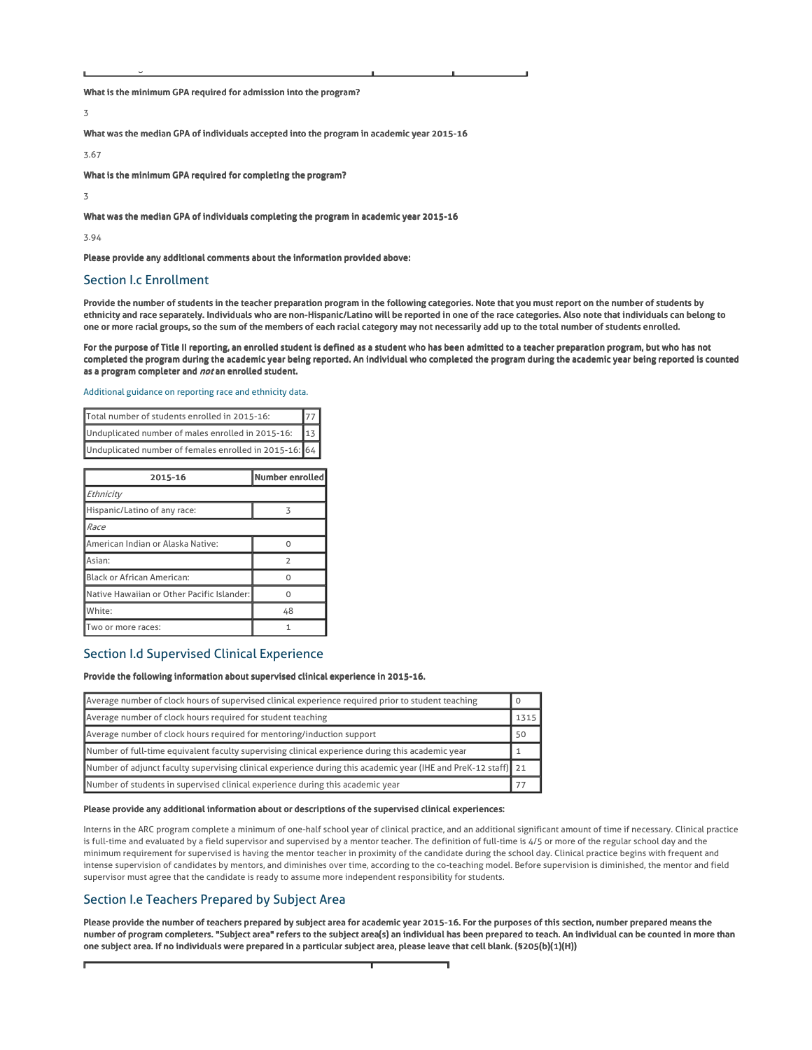What is the minimum GPA required for admission into the program?

3

What was the median GPA of individuals accepted into the program in academic year 2015-16

3.67

What is the minimum GPA required for completing the program?

3

What was the median GPA of individuals completing the program in academic year 2015-16

3.94

Please provide any additional comments about the information provided above:

## Section I.c Enrollment

Other Passing scores for edTPA

Provide the number of students in the teacher preparation program in the following categories. Note that you must report on the number of students by ethnicity and race separately. Individuals who are non-Hispanic/Latino will be reported in one of the race categories. Also note that individuals can belong to one or more racial groups, so the sum of the members of each racial category may not necessarily add up to the total number of students enrolled.

For the purpose of Title II reporting, an enrolled student is defined as a student who has been admitted to a teacher preparation program, but who has not completed the program during the academic year being reported. An individual who completed the program during the academic year being reported is counted as a program completer and not an enrolled student.

Additional guidance on reporting race and ethnicity data.

| Total number of students enrolled in 2015-16:            |  |
|----------------------------------------------------------|--|
| Unduplicated number of males enrolled in 2015-16:<br>13I |  |
| Unduplicated number of females enrolled in 2015-16: 64   |  |

| 2015-16                                    | Number enrolled |
|--------------------------------------------|-----------------|
| Ethnicity                                  |                 |
| Hispanic/Latino of any race:               | 3               |
| Race                                       |                 |
| American Indian or Alaska Native:          |                 |
| Asian:                                     | $\mathcal{D}$   |
| Black or African American:                 |                 |
| Native Hawaiian or Other Pacific Islander: |                 |
| White:                                     | 48              |
| Two or more races:                         |                 |

## Section I.d Supervised Clinical Experience

### Provide the following information about supervised clinical experience in 2015-16.

| Average number of clock hours of supervised clinical experience required prior to student teaching             |      |
|----------------------------------------------------------------------------------------------------------------|------|
| Average number of clock hours required for student teaching                                                    | 1315 |
| Average number of clock hours required for mentoring/induction support                                         | 50   |
| Number of full-time equivalent faculty supervising clinical experience during this academic year               |      |
| Number of adjunct faculty supervising clinical experience during this academic year (IHE and PreK-12 staff) 21 |      |
| Number of students in supervised clinical experience during this academic year                                 |      |

### Please provide any additional information about or descriptions of the supervised clinical experiences:

Interns in the ARC program complete a minimum of one-half school year of clinical practice, and an additional significant amount of time if necessary. Clinical practice is full-time and evaluated by a field supervisor and supervised by a mentor teacher. The definition of full-time is 4/5 or more of the regular school day and the minimum requirement for supervised is having the mentor teacher in proximity of the candidate during the school day. Clinical practice begins with frequent and intense supervision of candidates by mentors, and diminishes over time, according to the co-teaching model. Before supervision is diminished, the mentor and field supervisor must agree that the candidate is ready to assume more independent responsibility for students.

## Section I.e Teachers Prepared by Subject Area

Please provide the number of teachers prepared by subject area for academic year 2015-16. For the purposes of this section, number prepared means the number of program completers. "Subject area" refers to the subject area(s) an individual has been prepared to teach. An individual can be counted in more than one subject area. If no individuals were prepared in a particular subject area, please leave that cell blank. (§205(b)(1)(H))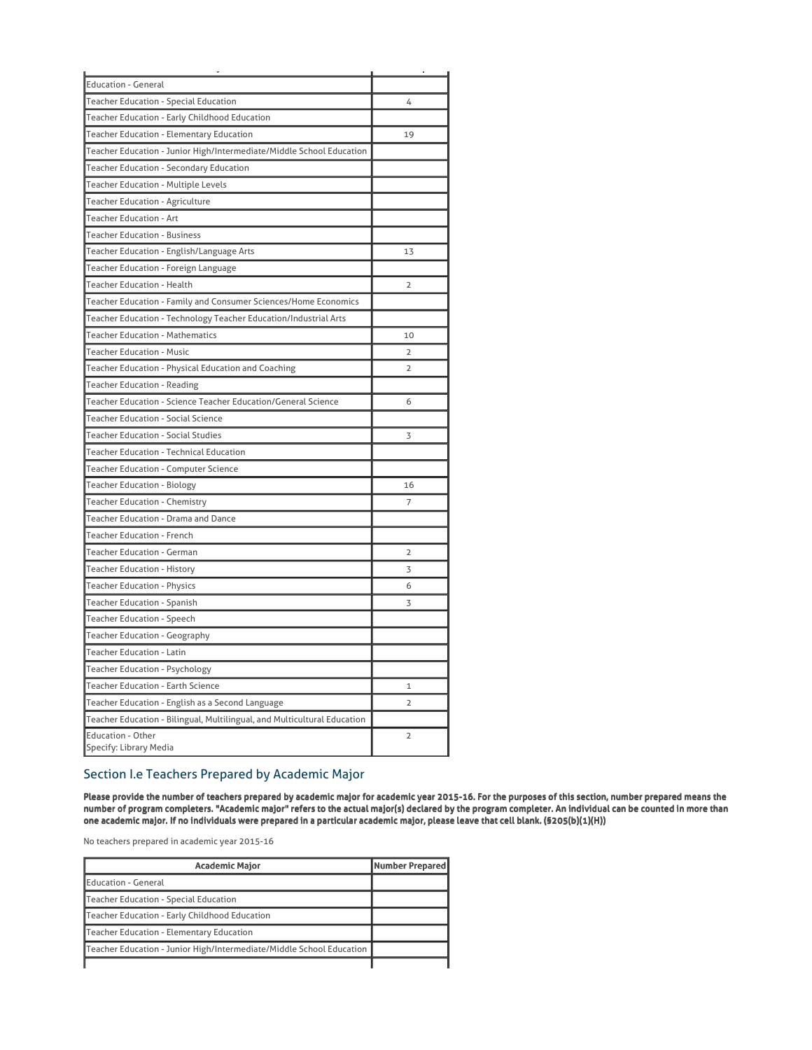| <b>Education - General</b>                                               |                |
|--------------------------------------------------------------------------|----------------|
| Teacher Education - Special Education                                    | 4              |
| Teacher Education - Early Childhood Education                            |                |
| Teacher Education - Elementary Education                                 | 19             |
| Teacher Education - Junior High/Intermediate/Middle School Education     |                |
| Teacher Education - Secondary Education                                  |                |
| <b>Teacher Education - Multiple Levels</b>                               |                |
| Teacher Education - Agriculture                                          |                |
| <b>Teacher Education - Art</b>                                           |                |
| <b>Teacher Education - Business</b>                                      |                |
| Teacher Education - English/Language Arts                                | 13             |
| Teacher Education - Foreign Language                                     |                |
| <b>Teacher Education - Health</b>                                        | 2              |
| Teacher Education - Family and Consumer Sciences/Home Economics          |                |
| Teacher Education - Technology Teacher Education/Industrial Arts         |                |
| <b>Teacher Education - Mathematics</b>                                   | 10             |
| <b>Teacher Education - Music</b>                                         | $\overline{2}$ |
| Teacher Education - Physical Education and Coaching                      | $\overline{2}$ |
| <b>Teacher Education - Reading</b>                                       |                |
| Teacher Education - Science Teacher Education/General Science            | 6              |
| <b>Teacher Education - Social Science</b>                                |                |
| <b>Teacher Education - Social Studies</b>                                | 3              |
| <b>Teacher Education - Technical Education</b>                           |                |
| Teacher Education - Computer Science                                     |                |
| <b>Teacher Education - Biology</b>                                       | 16             |
| Teacher Education - Chemistry                                            | 7              |
| Teacher Education - Drama and Dance                                      |                |
| <b>Teacher Education - French</b>                                        |                |
| <b>Teacher Education - German</b>                                        | 2              |
| <b>Teacher Education - History</b>                                       | 3              |
| <b>Teacher Education - Physics</b>                                       | 6              |
| Teacher Education - Spanish                                              | 3              |
| <b>Teacher Education - Speech</b>                                        |                |
| Teacher Education - Geography                                            |                |
| <b>Teacher Education - Latin</b>                                         |                |
| Teacher Education - Psychology                                           |                |
| Teacher Education - Earth Science                                        | $\mathbf{1}$   |
| Teacher Education - English as a Second Language                         | $\overline{2}$ |
| Teacher Education - Bilingual, Multilingual, and Multicultural Education |                |
| <b>Education - Other</b><br>Specify: Library Media                       | $\overline{2}$ |

# Section I.e Teachers Prepared by Academic Major

Please provide the number of teachers prepared by academic major for academic year 2015-16. For the purposes of this section, number prepared means the number of program completers. "Academic major" refers to the actual major(s) declared by the program completer. An individual can be counted in more than one academic major. If no individuals were prepared in a particular academic major, please leave that cell blank. (§205(b)(1)(H))

No teachers prepared in academic year 2015-16

| <b>Academic Major</b>                                                | Number Prepared |
|----------------------------------------------------------------------|-----------------|
| Education - General                                                  |                 |
| Teacher Education - Special Education                                |                 |
| Teacher Education - Early Childhood Education                        |                 |
| Teacher Education - Elementary Education                             |                 |
| Teacher Education - Junior High/Intermediate/Middle School Education |                 |
|                                                                      |                 |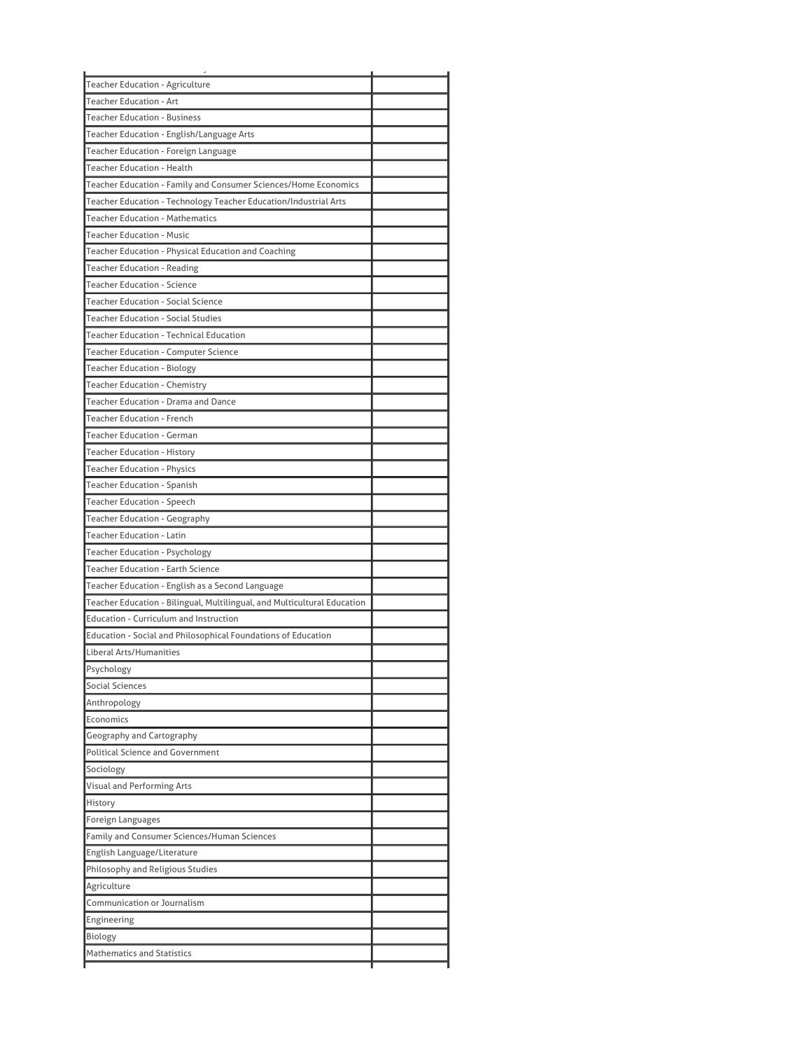| <b>Teacher Education - Agriculture</b>                                                                             |  |
|--------------------------------------------------------------------------------------------------------------------|--|
| <b>Teacher Education - Art</b>                                                                                     |  |
| <b>Teacher Education - Business</b>                                                                                |  |
| Teacher Education - English/Language Arts                                                                          |  |
| Teacher Education - Foreign Language                                                                               |  |
| <b>Teacher Education - Health</b>                                                                                  |  |
| Teacher Education - Family and Consumer Sciences/Home Economics                                                    |  |
| Teacher Education - Technology Teacher Education/Industrial Arts                                                   |  |
| <b>Teacher Education - Mathematics</b>                                                                             |  |
| <b>Teacher Education - Music</b>                                                                                   |  |
| Teacher Education - Physical Education and Coaching                                                                |  |
| <b>Teacher Education - Reading</b>                                                                                 |  |
| <b>Teacher Education - Science</b>                                                                                 |  |
| <b>Teacher Education - Social Science</b>                                                                          |  |
| <b>Teacher Education - Social Studies</b>                                                                          |  |
| <b>Teacher Education - Technical Education</b>                                                                     |  |
| Teacher Education - Computer Science                                                                               |  |
| Teacher Education - Biology                                                                                        |  |
| <b>Teacher Education - Chemistry</b>                                                                               |  |
| Teacher Education - Drama and Dance                                                                                |  |
| <b>Teacher Education - French</b>                                                                                  |  |
| <b>Teacher Education - German</b>                                                                                  |  |
| <b>Teacher Education - History</b>                                                                                 |  |
| <b>Teacher Education - Physics</b>                                                                                 |  |
| <b>Teacher Education - Spanish</b>                                                                                 |  |
| <b>Teacher Education - Speech</b>                                                                                  |  |
| Teacher Education - Geography                                                                                      |  |
| <b>Teacher Education - Latin</b>                                                                                   |  |
| Teacher Education - Psychology                                                                                     |  |
| <b>Teacher Education - Earth Science</b>                                                                           |  |
| Teacher Education - English as a Second Language                                                                   |  |
|                                                                                                                    |  |
| Teacher Education - Bilingual, Multilingual, and Multicultural Education<br>Education - Curriculum and Instruction |  |
|                                                                                                                    |  |
| Education - Social and Philosophical Foundations of Education                                                      |  |
| Liberal Arts/Humanities                                                                                            |  |
| Psychology                                                                                                         |  |
| <b>Social Sciences</b>                                                                                             |  |
| Anthropology                                                                                                       |  |
| Economics                                                                                                          |  |
| Geography and Cartography                                                                                          |  |
| <b>Political Science and Government</b>                                                                            |  |
| Sociology                                                                                                          |  |
| Visual and Performing Arts                                                                                         |  |
| History                                                                                                            |  |
| Foreign Languages                                                                                                  |  |
| Family and Consumer Sciences/Human Sciences                                                                        |  |
| English Language/Literature                                                                                        |  |
| Philosophy and Religious Studies                                                                                   |  |
| Agriculture                                                                                                        |  |
| <b>Communication or Journalism</b>                                                                                 |  |
| Engineering                                                                                                        |  |
| Biology                                                                                                            |  |
| <b>Mathematics and Statistics</b>                                                                                  |  |
|                                                                                                                    |  |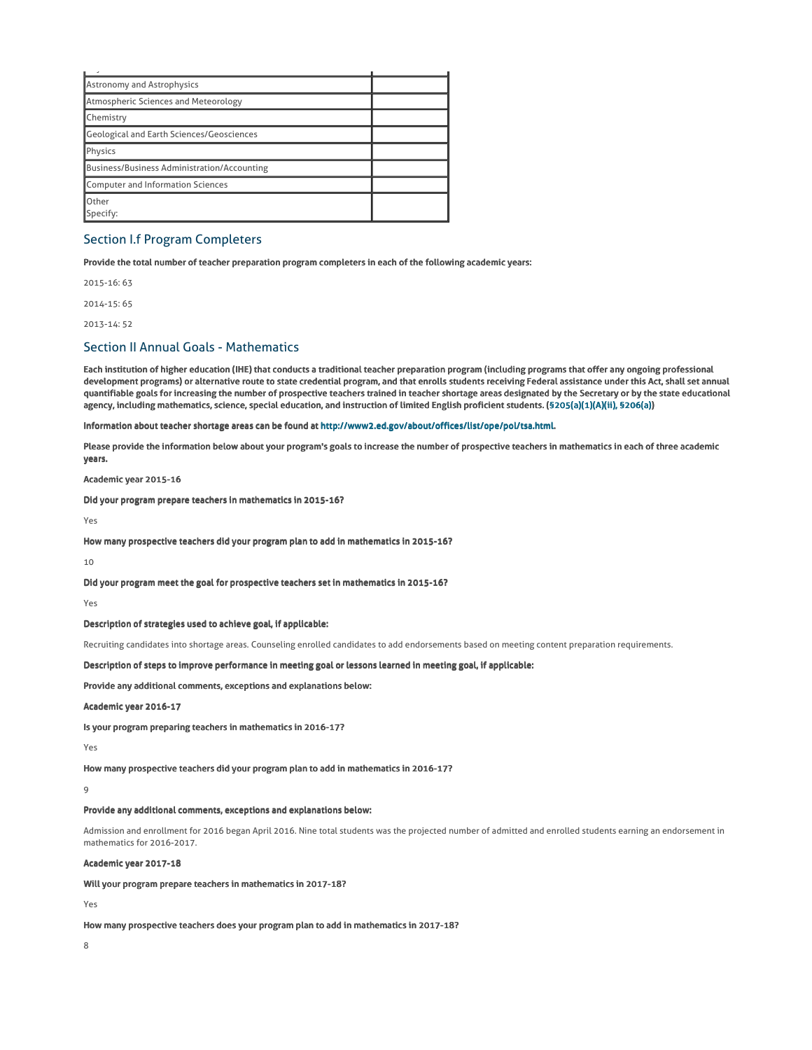| <b>Astronomy and Astrophysics</b>                  |  |
|----------------------------------------------------|--|
| Atmospheric Sciences and Meteorology               |  |
| Chemistry                                          |  |
| Geological and Earth Sciences/Geosciences          |  |
| Physics                                            |  |
| <b>Business/Business Administration/Accounting</b> |  |
| Computer and Information Sciences                  |  |
| Other<br>Specify:                                  |  |

## Section I.f Program Completers

Provide the total number of teacher preparation program completers in each of the following academic years:

2015-16: 63

2014-15: 65

2013-14: 52

## Section II Annual Goals - Mathematics

Each institution of higher education (IHE) that conducts a traditional teacher preparation program (including programs that offer any ongoing professional development programs) or alternative route to state credential program, and that enrolls students receiving Federal assistance under this Act, shall set annual quantifiable goals for increasing the number of prospective teachers trained in teacher shortage areas designated by the Secretary or by the state educational agency, including mathematics, science, special education, and instruction of limited English proficient students. (§205(a)(1)(A)(ii), §206(a))

Information about teacher shortage areas can be found at http://www2.ed.gov/about/offices/list/ope/pol/tsa.html.

Please provide the information below about your program's goals to increase the number of prospective teachers in mathematics in each of three academic years.

Academic year 2015-16

Did your program prepare teachers in mathematics in 2015-16?

Yes

How many prospective teachers did your program plan to add in mathematics in 2015-16?

 $10$ 

Did your program meet the goal for prospective teachers set in mathematics in 2015-16?

Yes

### Description of strategies used to achieve goal, if applicable:

Recruiting candidates into shortage areas. Counseling enrolled candidates to add endorsements based on meeting content preparation requirements.

Description of steps to improve performance in meeting goal or lessons learned in meeting goal, if applicable:

Provide any additional comments, exceptions and explanations below:

Academic year 2016-17

Is your program preparing teachers in mathematics in 2016-17?

Yes

How many prospective teachers did your program plan to add in mathematics in 2016-17?

 $\overline{9}$ 

### Provide any additional comments, exceptions and explanations below:

Admission and enrollment for 2016 began April 2016. Nine total students was the projected number of admitted and enrolled students earning an endorsement in mathematics for 2016-2017.

### Academic year 2017-18

Will your program prepare teachers in mathematics in 2017-18?

Yes

How many prospective teachers does your program plan to add in mathematics in 2017-18?

8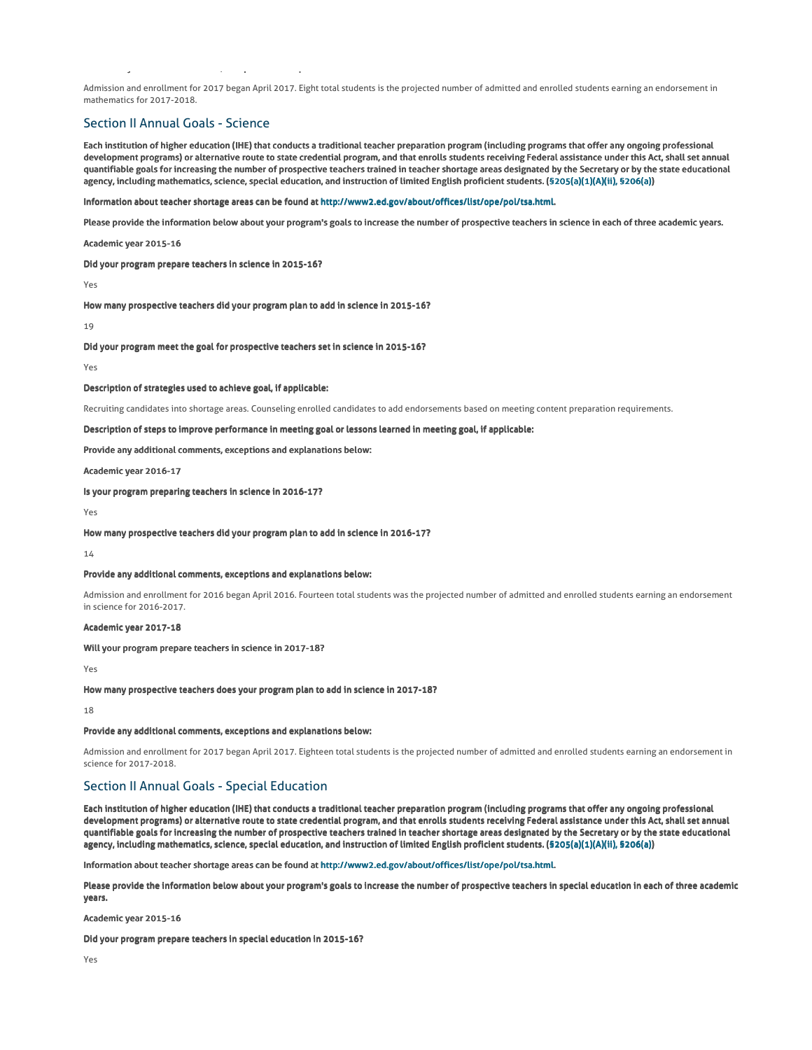Admission and enrollment for 2017 began April 2017. Eight total students is the projected number of admitted and enrolled students earning an endorsement in mathematics for 2017-2018.

## Section II Annual Goals - Science

Provide any additional comments, exceptions and explanations below:

Each institution of higher education (IHE) that conducts a traditional teacher preparation program (including programs that offer any ongoing professional development programs) or alternative route to state credential program, and that enrolls students receiving Federal assistance under this Act, shall set annual quantifiable goals for increasing the number of prospective teachers trained in teacher shortage areas designated by the Secretary or by the state educational agency, including mathematics, science, special education, and instruction of limited English proficient students. (§205(a)(1)(A)(ii), §206(a))

Information about teacher shortage areas can be found at http://www2.ed.gov/about/offices/list/ope/pol/tsa.html.

Please provide the information below about your program's goals to increase the number of prospective teachers in science in each of three academic years.

Academic year 2015-16

Did your program prepare teachers in science in 2015-16?

Yes

How many prospective teachers did your program plan to add in science in 2015-16?

19

Did your program meet the goal for prospective teachers set in science in 2015-16?

Yes

Description of strategies used to achieve goal, if applicable:

Recruiting candidates into shortage areas. Counseling enrolled candidates to add endorsements based on meeting content preparation requirements.

Description of steps to improve performance in meeting goal or lessons learned in meeting goal, if applicable:

Provide any additional comments, exceptions and explanations below:

Academic year 2016-17

Is your program preparing teachers in science in 2016-17?

Yes

How many prospective teachers did your program plan to add in science in 2016-17?

14

#### Provide any additional comments, exceptions and explanations below:

Admission and enrollment for 2016 began April 2016. Fourteen total students was the projected number of admitted and enrolled students earning an endorsement in science for 2016-2017.

## Academic year 2017-18

Will your program prepare teachers in science in 2017-18?

Yes

How many prospective teachers does your program plan to add in science in 2017-18?

18

#### Provide any additional comments, exceptions and explanations below:

Admission and enrollment for 2017 began April 2017. Eighteen total students is the projected number of admitted and enrolled students earning an endorsement in science for 2017-2018.

## Section II Annual Goals - Special Education

Each institution of higher education (IHE) that conducts a traditional teacher preparation program (including programs that offer any ongoing professional development programs) or alternative route to state credential program, and that enrolls students receiving Federal assistance under this Act, shall set annual quantifiable goals for increasing the number of prospective teachers trained in teacher shortage areas designated by the Secretary or by the state educational agency, including mathematics, science, special education, and instruction of limited English proficient students. (§205(a)(1)(A)(ii), §206(a))

Information about teacher shortage areas can be found at http://www2.ed.gov/about/offices/list/ope/pol/tsa.html.

Please provide the information below about your program's goals to increase the number of prospective teachers in special education in each of three academic years.

Academic year 2015-16

Did your program prepare teachers in special education in 2015-16?

Yes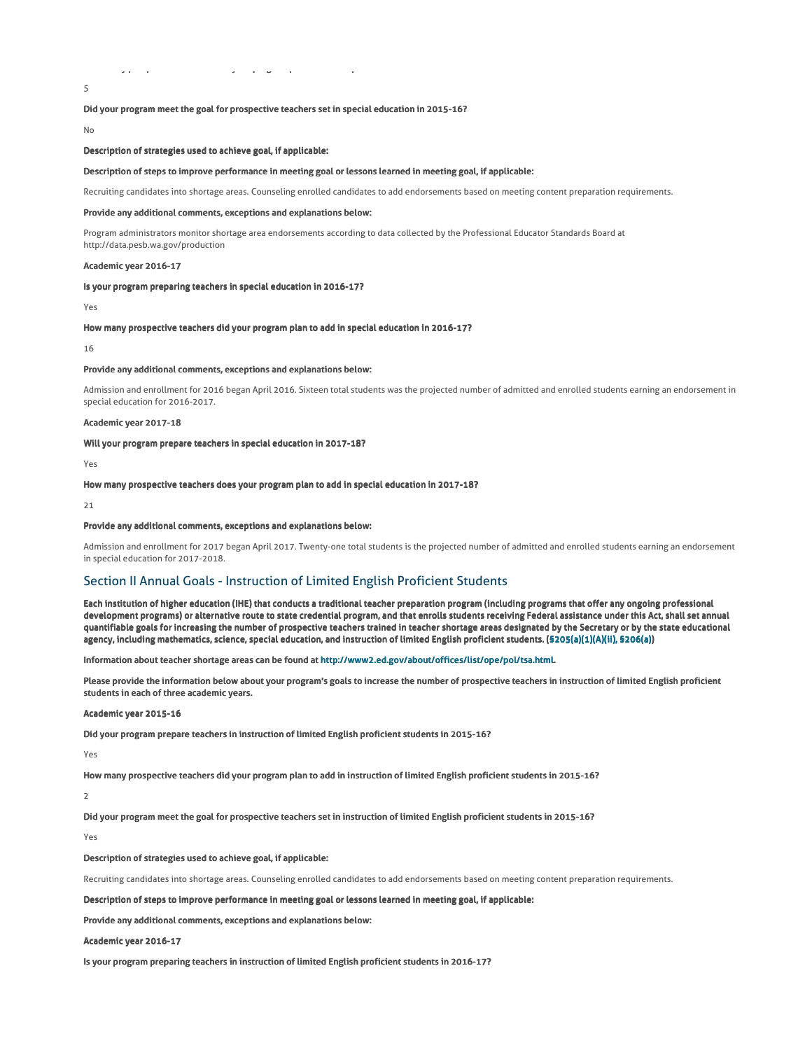How many prospective teachers did your program plan to add in special education in 2015-16?

Did your program meet the goal for prospective teachers set in special education in 2015-16?

No

5

Description of strategies used to achieve goal, if applicable:

#### Description of steps to improve performance in meeting goal or lessons learned in meeting goal, if applicable:

Recruiting candidates into shortage areas. Counseling enrolled candidates to add endorsements based on meeting content preparation requirements.

#### Provide any additional comments, exceptions and explanations below:

Program administrators monitor shortage area endorsements according to data collected by the Professional Educator Standards Board at http://data.pesb.wa.gov/production

#### Academic year 2016-17

#### Is your program preparing teachers in special education in 2016-17?

Yes

#### How many prospective teachers did your program plan to add in special education in 2016-17?

16

### Provide any additional comments, exceptions and explanations below:

Admission and enrollment for 2016 began April 2016. Sixteen total students was the projected number of admitted and enrolled students earning an endorsement in special education for 2016-2017.

#### Academic year 2017-18

Will your program prepare teachers in special education in 2017-18?

Yes

How many prospective teachers does your program plan to add in special education in 2017-18?

 $21$ 

#### Provide any additional comments, exceptions and explanations below:

Admission and enrollment for 2017 began April 2017. Twenty-one total students is the projected number of admitted and enrolled students earning an endorsement in special education for 2017-2018.

## Section II Annual Goals - Instruction of Limited English Proficient Students

Each institution of higher education (IHE) that conducts a traditional teacher preparation program (including programs that offer any ongoing professional development programs) or alternative route to state credential program, and that enrolls students receiving Federal assistance under this Act, shall set annual quantifiable goals for increasing the number of prospective teachers trained in teacher shortage areas designated by the Secretary or by the state educational agency, including mathematics, science, special education, and instruction of limited English proficient students. (§205(a)(1)(A)(ii), §206(a))

Information about teacher shortage areas can be found at http://www2.ed.gov/about/offices/list/ope/pol/tsa.html.

Please provide the information below about your program's goals to increase the number of prospective teachers in instruction of limited English proficient students in each of three academic years.

### Academic year 2015-16

Did your program prepare teachers in instruction of limited English proficient students in 2015-16?

Yes

How many prospective teachers did your program plan to add in instruction of limited English proficient students in 2015-16?

 $\overline{2}$ 

Did your program meet the goal for prospective teachers set in instruction of limited English proficient students in 2015-16?

Yes

### Description of strategies used to achieve goal, if applicable:

Recruiting candidates into shortage areas. Counseling enrolled candidates to add endorsements based on meeting content preparation requirements.

Description of steps to improve performance in meeting goal or lessons learned in meeting goal, if applicable:

Provide any additional comments, exceptions and explanations below:

Academic year 2016-17

Is your program preparing teachers in instruction of limited English proficient students in 2016-17?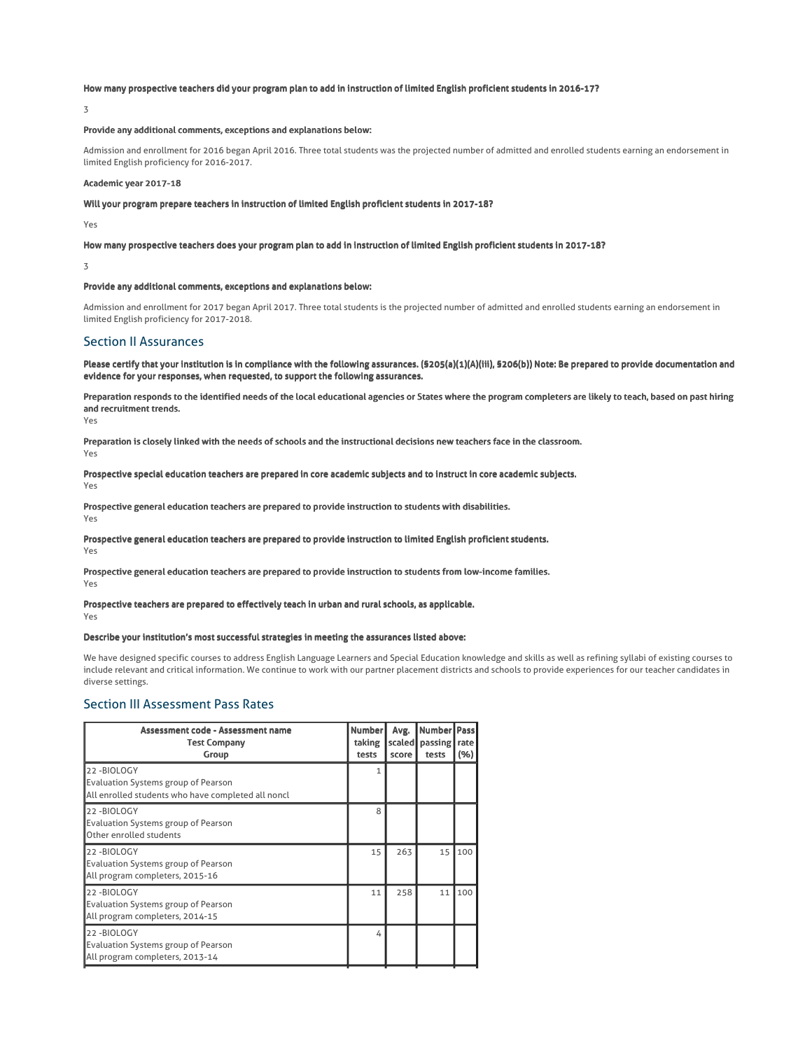### How many prospective teachers did your program plan to add in instruction of limited English proficient students in 2016-17?

3

### Provide any additional comments, exceptions and explanations below:

Admission and enrollment for 2016 began April 2016. Three total students was the projected number of admitted and enrolled students earning an endorsement in limited English proficiency for 2016-2017.

## Academic year 2017-18

Will your program prepare teachers in instruction of limited English proficient students in 2017-18?

Yes

How many prospective teachers does your program plan to add in instruction of limited English proficient students in 2017-18?

3

#### Provide any additional comments, exceptions and explanations below:

Admission and enrollment for 2017 began April 2017. Three total students is the projected number of admitted and enrolled students earning an endorsement in limited English proficiency for 2017-2018.

### Section II Assurances

Please certify that your institution is in compliance with the following assurances. (§205(a)(1)(A)(iii), §206(b)) Note: Be prepared to provide documentation and evidence for your responses, when requested, to support the following assurances.

Preparation responds to the identified needs of the local educational agencies or States where the program completers are likely to teach, based on past hiring and recruitment trends.

Yes

Preparation is closely linked with the needs of schools and the instructional decisions new teachers face in the classroom. Yes

Prospective special education teachers are prepared in core academic subjects and to instruct in core academic subjects. Yes

Prospective general education teachers are prepared to provide instruction to students with disabilities.

Yes

### Prospective general education teachers are prepared to provide instruction to limited English proficient students. Yes

Prospective general education teachers are prepared to provide instruction to students from low-income families.

Yes

### Prospective teachers are prepared to effectively teach in urban and rural schools, as applicable. Yes

### Describe your institution's most successful strategies in meeting the assurances listed above:

We have designed specific courses to address English Language Learners and Special Education knowledge and skills as well as refining syllabi of existing courses to include relevant and critical information. We continue to work with our partner placement districts and schools to provide experiences for our teacher candidates in diverse settings.

## Section III Assessment Pass Rates

| Assessment code - Assessment name<br><b>Test Company</b><br>Group                                              | <b>Number</b><br>taking<br>tests | Avg.<br>scaled<br>score | Number Pass<br>passing  <br>tests | rate<br>(%) |
|----------------------------------------------------------------------------------------------------------------|----------------------------------|-------------------------|-----------------------------------|-------------|
| 22-BIOLOGY<br><b>Evaluation Systems group of Pearson</b><br>All enrolled students who have completed all noncl |                                  |                         |                                   |             |
| 22-BIOLOGY<br><b>Evaluation Systems group of Pearson</b><br>Other enrolled students                            | 8                                |                         |                                   |             |
| 22-BIOLOGY<br><b>Evaluation Systems group of Pearson</b><br>All program completers, 2015-16                    | 15                               | 263                     | 15                                | 100         |
| 22-BIOLOGY<br><b>Evaluation Systems group of Pearson</b><br>All program completers, 2014-15                    | 11                               | 258                     | 11                                | 100         |
| 22-BIOLOGY<br><b>Evaluation Systems group of Pearson</b><br>All program completers, 2013-14                    | 4                                |                         |                                   |             |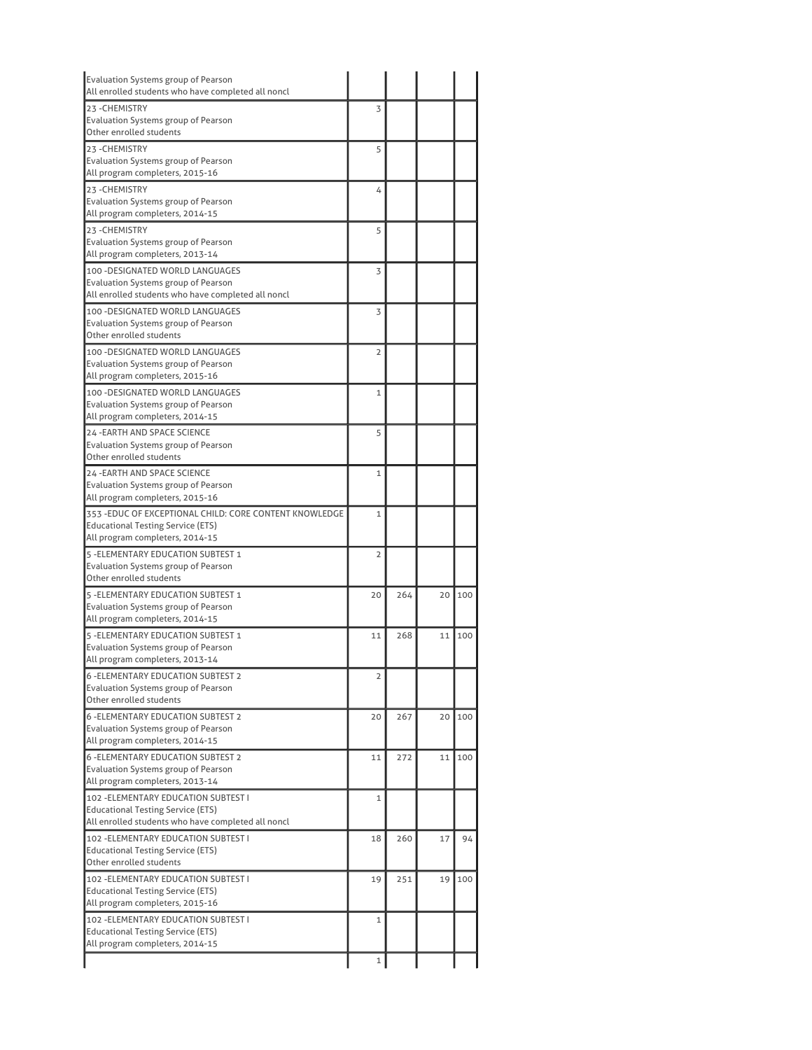| Evaluation Systems group of Pearson<br>All enrolled students who have completed all noncl |                |     |    |     |
|-------------------------------------------------------------------------------------------|----------------|-----|----|-----|
| 23-CHEMISTRY                                                                              | 3              |     |    |     |
| Evaluation Systems group of Pearson<br>Other enrolled students                            |                |     |    |     |
| 23-CHEMISTRY                                                                              |                |     |    |     |
| Evaluation Systems group of Pearson                                                       | 5              |     |    |     |
| All program completers, 2015-16                                                           |                |     |    |     |
| 23 - CHEMISTRY                                                                            | 4              |     |    |     |
| Evaluation Systems group of Pearson                                                       |                |     |    |     |
| All program completers, 2014-15                                                           |                |     |    |     |
| 23-CHEMISTRY<br><b>Evaluation Systems group of Pearson</b>                                | 5              |     |    |     |
| All program completers, 2013-14                                                           |                |     |    |     |
| 100 - DESIGNATED WORLD LANGUAGES                                                          | 3              |     |    |     |
| Evaluation Systems group of Pearson                                                       |                |     |    |     |
| All enrolled students who have completed all noncl                                        |                |     |    |     |
| 100 - DESIGNATED WORLD LANGUAGES                                                          | 3              |     |    |     |
| Evaluation Systems group of Pearson                                                       |                |     |    |     |
| Other enrolled students                                                                   |                |     |    |     |
| 100 - DESIGNATED WORLD LANGUAGES                                                          | $\overline{2}$ |     |    |     |
| Evaluation Systems group of Pearson<br>All program completers, 2015-16                    |                |     |    |     |
| 100 - DESIGNATED WORLD LANGUAGES                                                          | $\mathbf{1}$   |     |    |     |
| Evaluation Systems group of Pearson                                                       |                |     |    |     |
| All program completers, 2014-15                                                           |                |     |    |     |
| 24 - EARTH AND SPACE SCIENCE                                                              | 5              |     |    |     |
| Evaluation Systems group of Pearson                                                       |                |     |    |     |
| Other enrolled students                                                                   |                |     |    |     |
| <b>24 - EARTH AND SPACE SCIENCE</b>                                                       | 1              |     |    |     |
| Evaluation Systems group of Pearson<br>All program completers, 2015-16                    |                |     |    |     |
| 353 - EDUC OF EXCEPTIONAL CHILD: CORE CONTENT KNOWLEDGE                                   | $\mathbf{1}$   |     |    |     |
| Educational Testing Service (ETS)                                                         |                |     |    |     |
| All program completers, 2014-15                                                           |                |     |    |     |
| 5 - ELEMENTARY EDUCATION SUBTEST 1                                                        | $\overline{2}$ |     |    |     |
| Evaluation Systems group of Pearson                                                       |                |     |    |     |
| Other enrolled students                                                                   |                |     |    |     |
| 5 - ELEMENTARY EDUCATION SUBTEST 1                                                        | 20             | 264 | 20 | 100 |
| Evaluation Systems group of Pearson<br>All program completers, 2014-15                    |                |     |    |     |
| 5 - ELEMENTARY EDUCATION SUBTEST 1                                                        | 11             | 268 | 11 | 100 |
| Evaluation Systems group of Pearson                                                       |                |     |    |     |
| All program completers, 2013-14                                                           |                |     |    |     |
| <b>6 - ELEMENTARY EDUCATION SUBTEST 2</b>                                                 | 2              |     |    |     |
| Evaluation Systems group of Pearson                                                       |                |     |    |     |
| Other enrolled students                                                                   |                |     |    |     |
| <b>6 -ELEMENTARY EDUCATION SUBTEST 2</b>                                                  | 20             | 267 | 20 | 100 |
| Evaluation Systems group of Pearson<br>All program completers, 2014-15                    |                |     |    |     |
| <b>6 - ELEMENTARY EDUCATION SUBTEST 2</b>                                                 | 11             | 272 | 11 | 100 |
| Evaluation Systems group of Pearson                                                       |                |     |    |     |
| All program completers, 2013-14                                                           |                |     |    |     |
| 102 - ELEMENTARY EDUCATION SUBTEST I                                                      | $\mathbf{1}$   |     |    |     |
| <b>Educational Testing Service (ETS)</b>                                                  |                |     |    |     |
| All enrolled students who have completed all noncl                                        |                |     |    |     |
| 102 - ELEMENTARY EDUCATION SUBTEST I                                                      | 18             | 260 | 17 | 94  |
| <b>Educational Testing Service (ETS)</b><br>Other enrolled students                       |                |     |    |     |
| 102 - ELEMENTARY EDUCATION SUBTEST I                                                      | 19             | 251 | 19 | 100 |
| <b>Educational Testing Service (ETS)</b>                                                  |                |     |    |     |
| All program completers, 2015-16                                                           |                |     |    |     |
| 102 - ELEMENTARY EDUCATION SUBTEST I                                                      | 1              |     |    |     |
| <b>Educational Testing Service (ETS)</b>                                                  |                |     |    |     |
| All program completers, 2014-15                                                           |                |     |    |     |
|                                                                                           | 1              |     |    |     |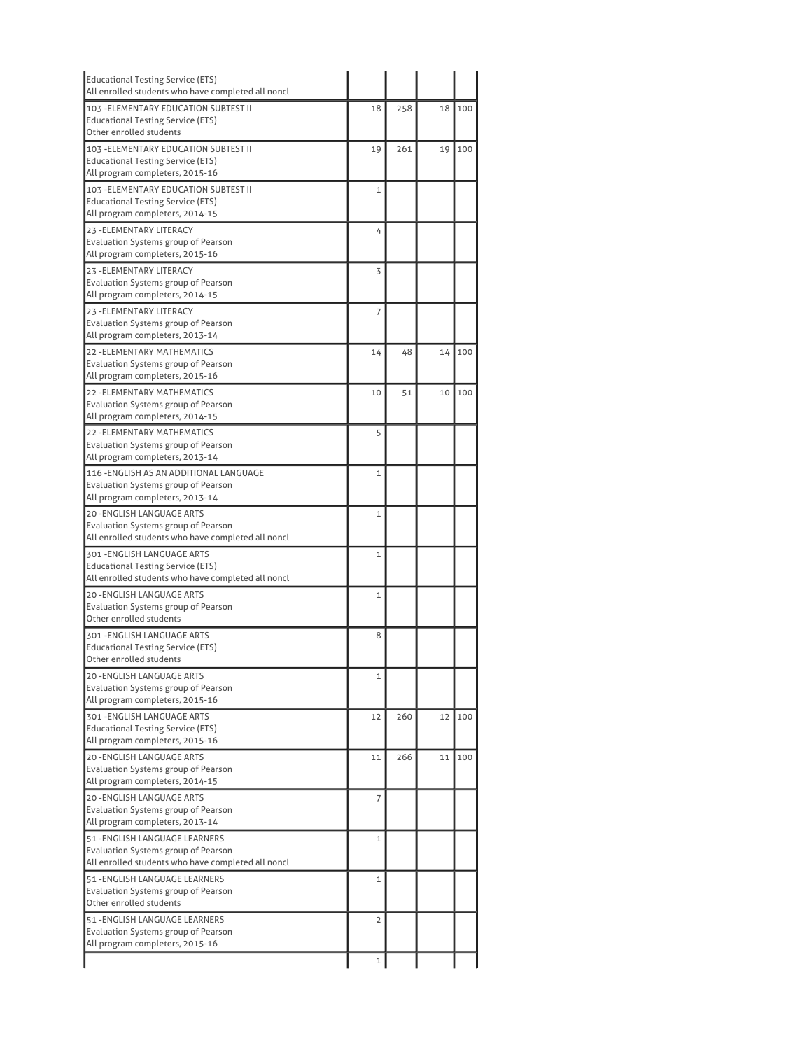| 18           | 258 | 18 | 100 |
|--------------|-----|----|-----|
| 19           | 261 | 19 | 100 |
| $\mathbf{1}$ |     |    |     |
| 4            |     |    |     |
| 3            |     |    |     |
| 7            |     |    |     |
| 14           | 48  | 14 | 100 |
| 10           | 51  | 10 | 100 |
| 5            |     |    |     |
| 1            |     |    |     |
| $\mathbf{1}$ |     |    |     |
| $\mathbf{1}$ |     |    |     |
| $\mathbf{1}$ |     |    |     |
| 8            |     |    |     |
| $\mathbf 1$  |     |    |     |
| 12           | 260 | 12 | 100 |
| 11           | 266 | 11 | 100 |
| 7            |     |    |     |
| 1            |     |    |     |
| 1            |     |    |     |
|              |     |    |     |
|              |     |    |     |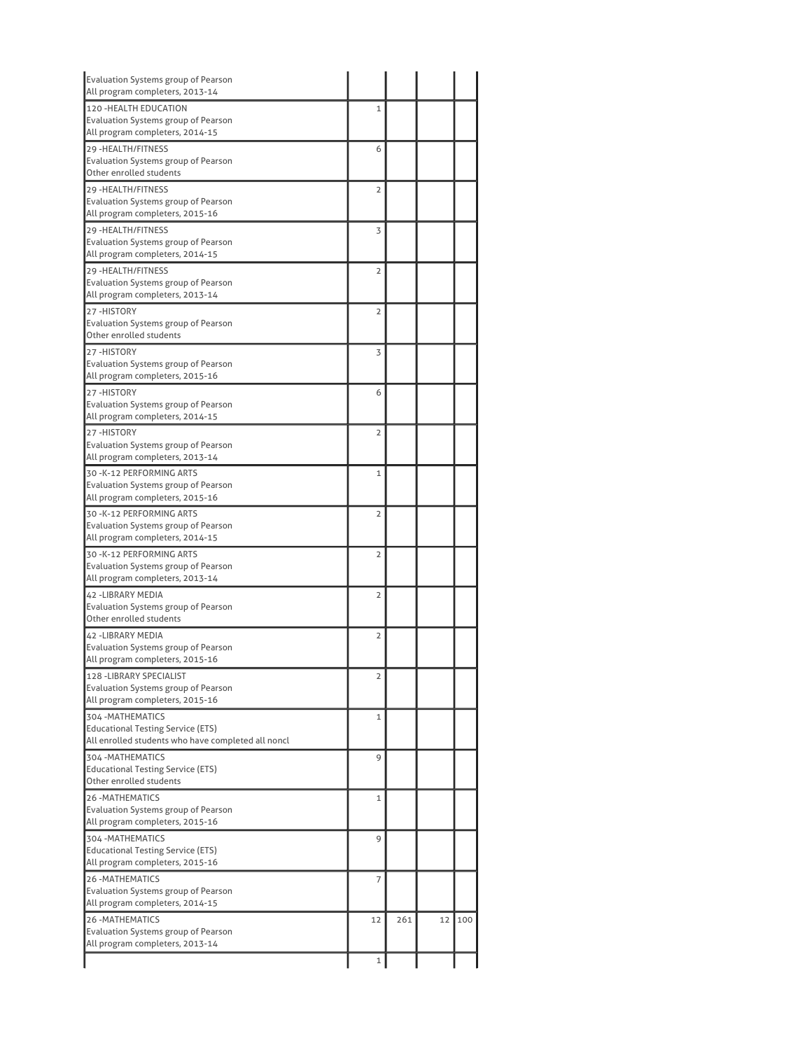| Evaluation Systems group of Pearson<br>All program completers, 2013-14                                              |                |     |    |     |
|---------------------------------------------------------------------------------------------------------------------|----------------|-----|----|-----|
| 120 - HEALTH EDUCATION<br>Evaluation Systems group of Pearson<br>All program completers, 2014-15                    | 1              |     |    |     |
| 29 - HEALTH/FITNESS<br>Evaluation Systems group of Pearson<br>Other enrolled students                               | 6              |     |    |     |
| 29 - HEALTH/FITNESS<br>Evaluation Systems group of Pearson<br>All program completers, 2015-16                       | $\overline{2}$ |     |    |     |
| 29 - HEALTH/FITNESS<br>Evaluation Systems group of Pearson<br>All program completers, 2014-15                       | 3              |     |    |     |
| 29 - HEALTH/FITNESS<br>Evaluation Systems group of Pearson<br>All program completers, 2013-14                       | $\overline{2}$ |     |    |     |
| 27-HISTORY<br>Evaluation Systems group of Pearson<br>Other enrolled students                                        | $\overline{2}$ |     |    |     |
| 27-HISTORY<br><b>Evaluation Systems group of Pearson</b><br>All program completers, 2015-16                         | 3              |     |    |     |
| 27-HISTORY<br><b>Evaluation Systems group of Pearson</b><br>All program completers, 2014-15                         | 6              |     |    |     |
| 27-HISTORY<br>Evaluation Systems group of Pearson<br>All program completers, 2013-14                                | $\overline{2}$ |     |    |     |
| 30 - K-12 PERFORMING ARTS<br>Evaluation Systems group of Pearson<br>All program completers, 2015-16                 | $\mathbf{1}$   |     |    |     |
| 30 - K-12 PERFORMING ARTS<br>Evaluation Systems group of Pearson<br>All program completers, 2014-15                 | $\overline{2}$ |     |    |     |
| 30 - K-12 PERFORMING ARTS<br>Evaluation Systems group of Pearson<br>All program completers, 2013-14                 | 2              |     |    |     |
| <b>42 -LIBRARY MEDIA</b><br>Evaluation Systems group of Pearson<br>Other enrolled students                          | $\overline{2}$ |     |    |     |
| <b>42 -LIBRARY MEDIA</b><br>Evaluation Systems group of Pearson<br>All program completers, 2015-16                  | 2              |     |    |     |
| 128 - LIBRARY SPECIALIST<br><b>Evaluation Systems group of Pearson</b><br>All program completers, 2015-16           | 2              |     |    |     |
| 304 - MATHEMATICS<br><b>Educational Testing Service (ETS)</b><br>All enrolled students who have completed all noncl | 1              |     |    |     |
| 304 - MATHEMATICS<br><b>Educational Testing Service (ETS)</b><br>Other enrolled students                            | 9              |     |    |     |
| <b>26 -MATHEMATICS</b><br>Evaluation Systems group of Pearson<br>All program completers, 2015-16                    | $\mathbf{1}$   |     |    |     |
| 304 - MATHEMATICS<br><b>Educational Testing Service (ETS)</b><br>All program completers, 2015-16                    | 9              |     |    |     |
| <b>26 - MATHEMATICS</b><br>Evaluation Systems group of Pearson<br>All program completers, 2014-15                   | 7              |     |    |     |
| <b>26 - MATHEMATICS</b>                                                                                             | 12             | 261 | 12 | 100 |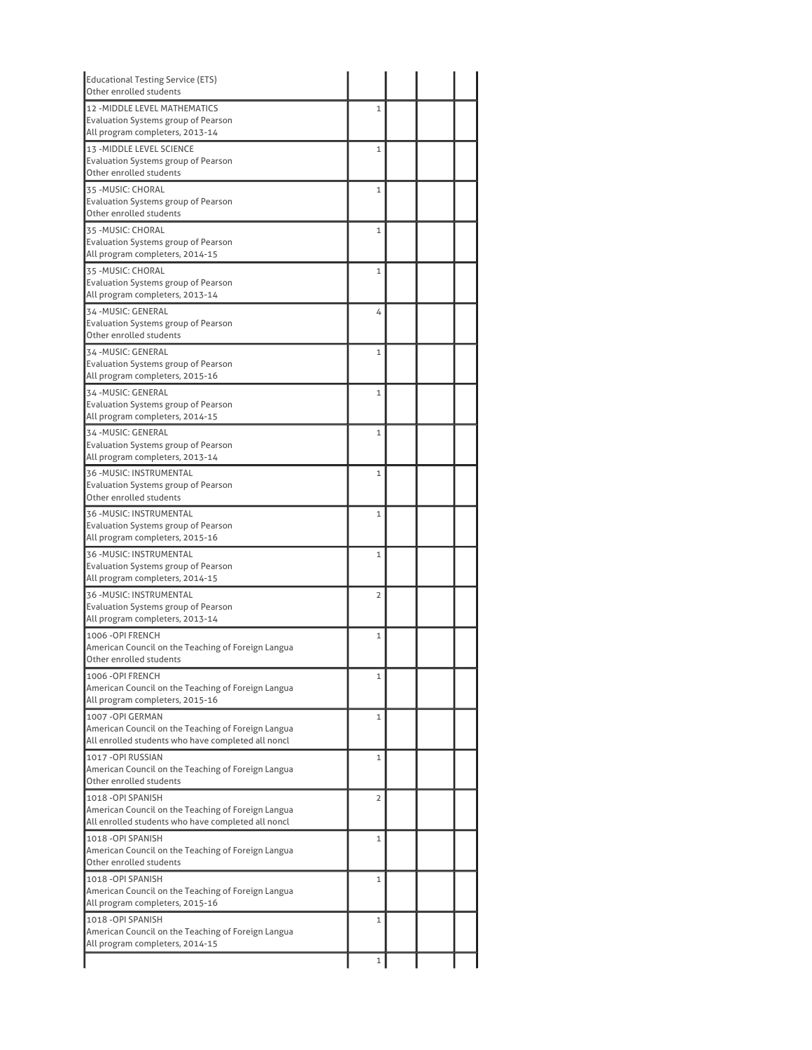| <b>Educational Testing Service (ETS)</b><br>Other enrolled students                                                            |                |  |  |
|--------------------------------------------------------------------------------------------------------------------------------|----------------|--|--|
| <b>12 - MIDDLE LEVEL MATHEMATICS</b><br>Evaluation Systems group of Pearson<br>All program completers, 2013-14                 | 1              |  |  |
| 13 - MIDDLE LEVEL SCIENCE<br>Evaluation Systems group of Pearson<br>Other enrolled students                                    | $\mathbf{1}$   |  |  |
| 35 - MUSIC: CHORAL<br>Evaluation Systems group of Pearson<br>Other enrolled students                                           | $\mathbf{1}$   |  |  |
| 35 - MUSIC: CHORAL<br><b>Evaluation Systems group of Pearson</b><br>All program completers, 2014-15                            | $\mathbf{1}$   |  |  |
| 35 - MUSIC: CHORAL<br><b>Evaluation Systems group of Pearson</b><br>All program completers, 2013-14                            | $\mathbf{1}$   |  |  |
| 34 - MUSIC: GENERAL<br>Evaluation Systems group of Pearson<br>Other enrolled students                                          | 4              |  |  |
| 34 - MUSIC: GENERAL<br>Evaluation Systems group of Pearson<br>All program completers, 2015-16                                  | $\mathbf{1}$   |  |  |
| 34 - MUSIC: GENERAL<br>Evaluation Systems group of Pearson<br>All program completers, 2014-15                                  | $\mathbf{1}$   |  |  |
| 34 - MUSIC: GENERAL<br><b>Evaluation Systems group of Pearson</b><br>All program completers, 2013-14                           | $\mathbf{1}$   |  |  |
| 36 - MUSIC: INSTRUMENTAL<br>Evaluation Systems group of Pearson<br>Other enrolled students                                     | $\mathbf{1}$   |  |  |
| 36 - MUSIC: INSTRUMENTAL<br>Evaluation Systems group of Pearson<br>All program completers, 2015-16                             | $\mathbf{1}$   |  |  |
| 36 - MUSIC: INSTRUMENTAL<br>Evaluation Systems group of Pearson<br>All program completers, 2014-15                             | $\mathbf{1}$   |  |  |
| 36 - MUSIC: INSTRUMENTAL<br>Evaluation Systems group of Pearson<br>All program completers, 2013-14                             | $\overline{2}$ |  |  |
| 1006 - OPI FRENCH<br>American Council on the Teaching of Foreign Langua<br>Other enrolled students                             | 1              |  |  |
| 1006 - OPI FRENCH<br>American Council on the Teaching of Foreign Langua<br>All program completers, 2015-16                     | $\mathbf 1$    |  |  |
| 1007-OPI GERMAN<br>American Council on the Teaching of Foreign Langua<br>All enrolled students who have completed all noncl    | 1              |  |  |
| 1017 - OPI RUSSIAN<br>American Council on the Teaching of Foreign Langua<br>Other enrolled students                            | $\mathbf{1}$   |  |  |
| 1018 - OPI SPANISH<br>American Council on the Teaching of Foreign Langua<br>All enrolled students who have completed all noncl | $\overline{2}$ |  |  |
| 1018 - OPI SPANISH<br>American Council on the Teaching of Foreign Langua<br>Other enrolled students                            | 1              |  |  |
| 1018 - OPI SPANISH<br>American Council on the Teaching of Foreign Langua<br>All program completers, 2015-16                    | $\mathbf{1}$   |  |  |
| 1018 - OPI SPANISH<br>American Council on the Teaching of Foreign Langua                                                       | 1              |  |  |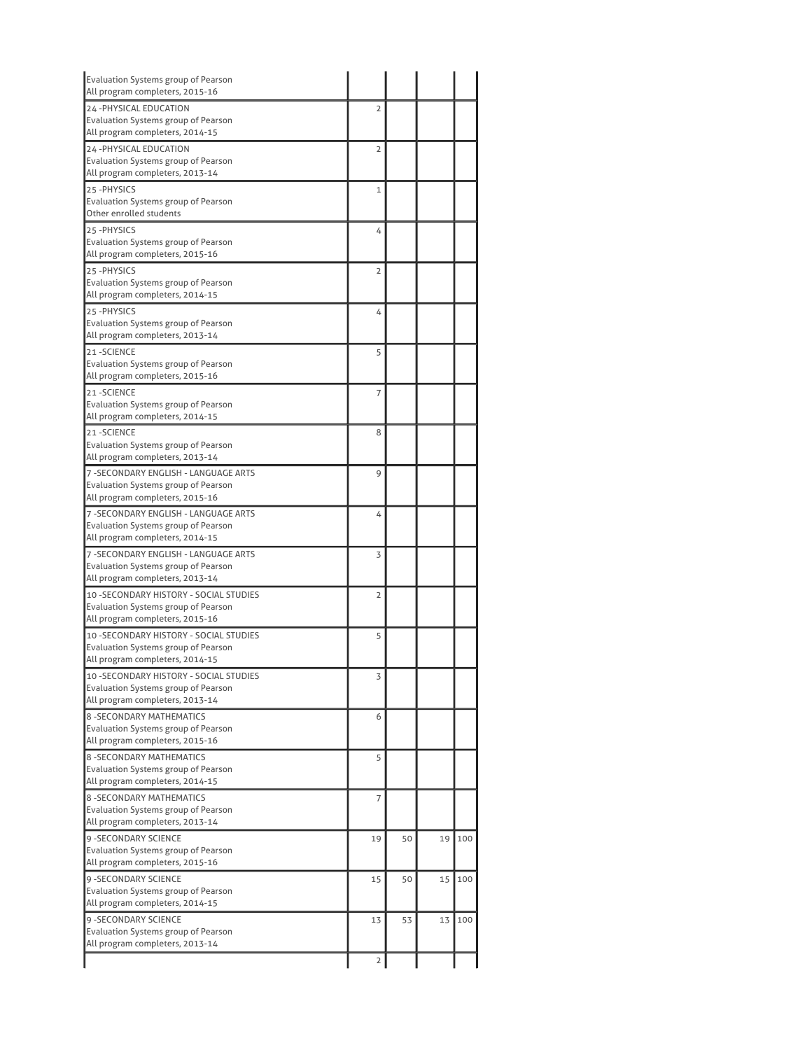| Evaluation Systems group of Pearson<br>All program completers, 2015-16                                                   |                |    |    |     |
|--------------------------------------------------------------------------------------------------------------------------|----------------|----|----|-----|
| 24 - PHYSICAL EDUCATION                                                                                                  | $\overline{2}$ |    |    |     |
| Evaluation Systems group of Pearson<br>All program completers, 2014-15                                                   |                |    |    |     |
| 24 - PHYSICAL EDUCATION                                                                                                  | $\overline{2}$ |    |    |     |
| Evaluation Systems group of Pearson<br>All program completers, 2013-14                                                   |                |    |    |     |
| 25-PHYSICS<br>Evaluation Systems group of Pearson                                                                        | 1              |    |    |     |
| Other enrolled students                                                                                                  |                |    |    |     |
| 25-PHYSICS<br><b>Evaluation Systems group of Pearson</b><br>All program completers, 2015-16                              | 4              |    |    |     |
| 25-PHYSICS<br>Evaluation Systems group of Pearson<br>All program completers, 2014-15                                     | $\overline{2}$ |    |    |     |
| 25-PHYSICS<br><b>Evaluation Systems group of Pearson</b><br>All program completers, 2013-14                              | 4              |    |    |     |
| 21-SCIENCE<br><b>Evaluation Systems group of Pearson</b><br>All program completers, 2015-16                              | 5              |    |    |     |
| 21-SCIENCE<br><b>Evaluation Systems group of Pearson</b><br>All program completers, 2014-15                              | 7              |    |    |     |
| 21-SCIENCE<br>Evaluation Systems group of Pearson<br>All program completers, 2013-14                                     | 8              |    |    |     |
| 7 - SECONDARY ENGLISH - LANGUAGE ARTS<br>Evaluation Systems group of Pearson<br>All program completers, 2015-16          | 9              |    |    |     |
| 7 - SECONDARY ENGLISH - LANGUAGE ARTS<br>Evaluation Systems group of Pearson<br>All program completers, 2014-15          | 4              |    |    |     |
| 7 - SECONDARY ENGLISH - LANGUAGE ARTS<br>Evaluation Systems group of Pearson<br>All program completers, 2013-14          | 3              |    |    |     |
| 10 - SECONDARY HISTORY - SOCIAL STUDIES<br>Evaluation Systems group of Pearson<br>All program completers, 2015-16        | $\overline{2}$ |    |    |     |
| 10 - SECONDARY HISTORY - SOCIAL STUDIES<br>Evaluation Systems group of Pearson<br>All program completers, 2014-15        | 5              |    |    |     |
| 10 - SECONDARY HISTORY - SOCIAL STUDIES<br><b>Evaluation Systems group of Pearson</b><br>All program completers, 2013-14 | 3              |    |    |     |
| <b>8 - SECONDARY MATHEMATICS</b><br><b>Evaluation Systems group of Pearson</b><br>All program completers, 2015-16        | 6              |    |    |     |
| 8 - SECONDARY MATHEMATICS<br>Evaluation Systems group of Pearson<br>All program completers, 2014-15                      | 5              |    |    |     |
| <b>8 - SECONDARY MATHEMATICS</b><br>Evaluation Systems group of Pearson<br>All program completers, 2013-14               | 7              |    |    |     |
| 9 - SECONDARY SCIENCE<br>Evaluation Systems group of Pearson<br>All program completers, 2015-16                          | 19             | 50 | 19 | 100 |
| <b>9 - SECONDARY SCIENCE</b><br>Evaluation Systems group of Pearson<br>All program completers, 2014-15                   | 15             | 50 | 15 | 100 |
|                                                                                                                          |                | 53 | 13 | 100 |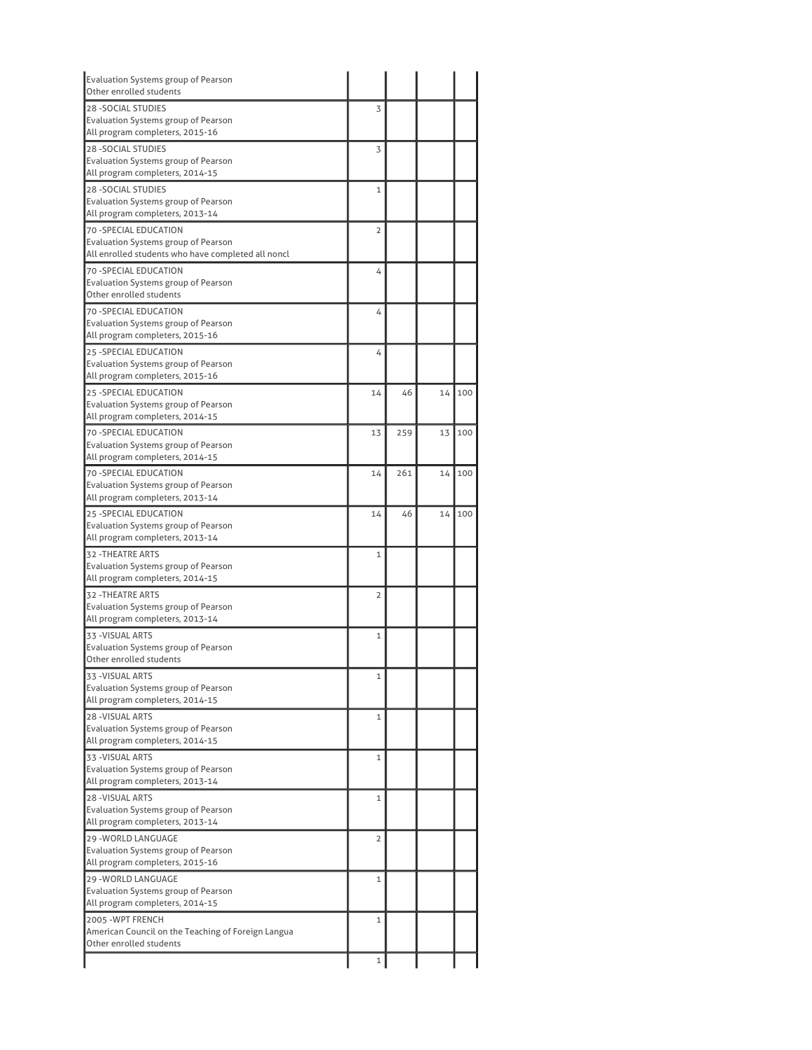| <b>Evaluation Systems group of Pearson</b><br>Other enrolled students                            |                |     |    |     |
|--------------------------------------------------------------------------------------------------|----------------|-----|----|-----|
| <b>28 - SOCIAL STUDIES</b>                                                                       | 3              |     |    |     |
| Evaluation Systems group of Pearson                                                              |                |     |    |     |
| All program completers, 2015-16                                                                  |                |     |    |     |
| <b>28 -SOCIAL STUDIES</b>                                                                        | 3              |     |    |     |
| Evaluation Systems group of Pearson                                                              |                |     |    |     |
| All program completers, 2014-15                                                                  |                |     |    |     |
| <b>28 - SOCIAL STUDIES</b>                                                                       | 1              |     |    |     |
| Evaluation Systems group of Pearson                                                              |                |     |    |     |
| All program completers, 2013-14                                                                  |                |     |    |     |
| 70 - SPECIAL EDUCATION                                                                           | $\overline{2}$ |     |    |     |
| <b>Evaluation Systems group of Pearson</b><br>All enrolled students who have completed all noncl |                |     |    |     |
|                                                                                                  |                |     |    |     |
| 70 - SPECIAL EDUCATION<br>Evaluation Systems group of Pearson                                    | 4              |     |    |     |
| Other enrolled students                                                                          |                |     |    |     |
| <b>70 -SPECIAL EDUCATION</b>                                                                     | 4              |     |    |     |
| Evaluation Systems group of Pearson                                                              |                |     |    |     |
| All program completers, 2015-16                                                                  |                |     |    |     |
| 25 - SPECIAL EDUCATION                                                                           | 4              |     |    |     |
| Evaluation Systems group of Pearson                                                              |                |     |    |     |
| All program completers, 2015-16                                                                  |                |     |    |     |
| 25 - SPECIAL EDUCATION                                                                           | 14             | 46  | 14 | 100 |
| Evaluation Systems group of Pearson                                                              |                |     |    |     |
| All program completers, 2014-15                                                                  |                |     |    |     |
| <b>70 -SPECIAL EDUCATION</b>                                                                     | 13             | 259 | 13 | 100 |
| Evaluation Systems group of Pearson                                                              |                |     |    |     |
| All program completers, 2014-15                                                                  |                |     |    |     |
| 70 - SPECIAL EDUCATION                                                                           | 14             | 261 | 14 | 100 |
| Evaluation Systems group of Pearson                                                              |                |     |    |     |
| All program completers, 2013-14                                                                  |                |     |    |     |
| 25 - SPECIAL EDUCATION<br>Evaluation Systems group of Pearson                                    | 14             | 46  | 14 | 100 |
| All program completers, 2013-14                                                                  |                |     |    |     |
| 32 - THEATRE ARTS                                                                                | 1              |     |    |     |
| Evaluation Systems group of Pearson                                                              |                |     |    |     |
| All program completers, 2014-15                                                                  |                |     |    |     |
| <b>32 - THEATRE ARTS</b>                                                                         | $\overline{2}$ |     |    |     |
| Evaluation Systems group of Pearson                                                              |                |     |    |     |
| All program completers, 2013-14                                                                  |                |     |    |     |
| 33 - VISUAL ARTS                                                                                 | 1              |     |    |     |
| Evaluation Systems group of Pearson                                                              |                |     |    |     |
| Other enrolled students                                                                          |                |     |    |     |
| 33 - VISUAL ARTS                                                                                 | 1              |     |    |     |
| Evaluation Systems group of Pearson                                                              |                |     |    |     |
| All program completers, 2014-15                                                                  |                |     |    |     |
| <b>28 - VISUAL ARTS</b>                                                                          | 1              |     |    |     |
| Evaluation Systems group of Pearson<br>All program completers, 2014-15                           |                |     |    |     |
|                                                                                                  |                |     |    |     |
| 33 - VISUAL ARTS<br>Evaluation Systems group of Pearson                                          | 1              |     |    |     |
| All program completers, 2013-14                                                                  |                |     |    |     |
| <b>28 - VISUAL ARTS</b>                                                                          | 1              |     |    |     |
| <b>Evaluation Systems group of Pearson</b>                                                       |                |     |    |     |
| All program completers, 2013-14                                                                  |                |     |    |     |
| 29 - WORLD LANGUAGE                                                                              | 2              |     |    |     |
| Evaluation Systems group of Pearson                                                              |                |     |    |     |
| All program completers, 2015-16                                                                  |                |     |    |     |
| 29 - WORLD LANGUAGE                                                                              | 1              |     |    |     |
| Evaluation Systems group of Pearson                                                              |                |     |    |     |
| All program completers, 2014-15                                                                  |                |     |    |     |
| 2005 - WPT FRENCH                                                                                | 1              |     |    |     |
| American Council on the Teaching of Foreign Langua                                               |                |     |    |     |
| Other enrolled students                                                                          |                |     |    |     |
|                                                                                                  | 1              |     |    |     |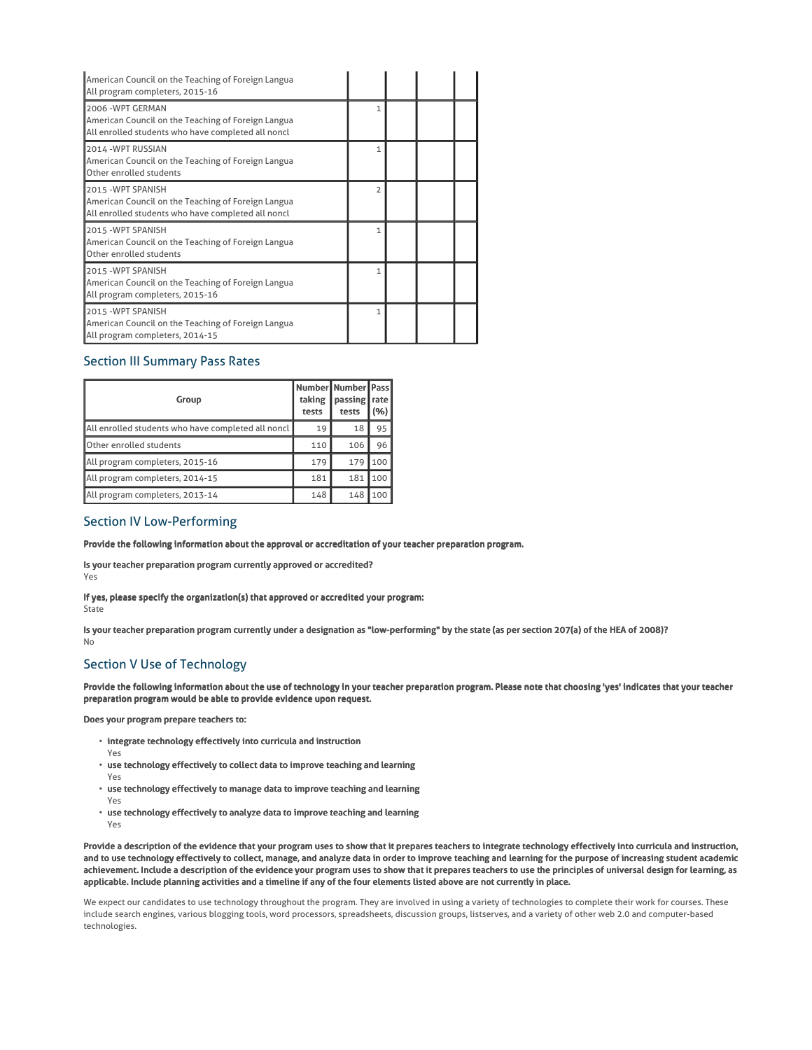| American Council on the Teaching of Foreign Langua<br>All program completers, 2015-16                                          |                          |  |  |
|--------------------------------------------------------------------------------------------------------------------------------|--------------------------|--|--|
| 2006 - WPT GERMAN<br>American Council on the Teaching of Foreign Langua<br>All enrolled students who have completed all noncl  | 1                        |  |  |
| 2014 - WPT RUSSIAN<br>American Council on the Teaching of Foreign Langua<br>Other enrolled students                            | 1                        |  |  |
| 2015 - WPT SPANISH<br>American Council on the Teaching of Foreign Langua<br>All enrolled students who have completed all noncl | $\overline{\phantom{a}}$ |  |  |
| 2015 - WPT SPANISH<br>American Council on the Teaching of Foreign Langua<br>Other enrolled students                            | 1                        |  |  |
| 2015 - WPT SPANISH<br>American Council on the Teaching of Foreign Langua<br>All program completers, 2015-16                    | 1                        |  |  |
| 2015 - WPT SPANISH<br>American Council on the Teaching of Foreign Langua<br>All program completers, 2014-15                    | 1                        |  |  |

# Section III Summary Pass Rates

| Group                                              | taking<br>tests | Number Number   Pass<br>passing<br>tests | rate<br>(%) |
|----------------------------------------------------|-----------------|------------------------------------------|-------------|
| All enrolled students who have completed all noncl | 19              | 18                                       | 95          |
| Other enrolled students                            | 110             | 106                                      | 96          |
| All program completers, 2015-16                    | 179             | 179                                      | 100         |
| All program completers, 2014-15                    | 181             | 181                                      | 100         |
| All program completers, 2013-14                    | 148             | 148                                      | 100         |

## Section IV Low-Performing

## Provide the following information about the approval or accreditation of your teacher preparation program.

Is your teacher preparation program currently approved or accredited?

Yes

If yes, please specify the organization(s) that approved or accredited your program: State

Is your teacher preparation program currently under a designation as "low-performing" by the state (as per section 207(a) of the HEA of 2008)? No

# Section V Use of Technology

Provide the following information about the use of technology in your teacher preparation program. Please note that choosing 'yes' indicates that your teacher preparation program would be able to provide evidence upon request.

Does your program prepare teachers to:

- $\cdot$  integrate technology effectively into curricula and instruction
- Yes
- use technology effectively to collect data to improve teaching and learning Yes
- use technology effectively to manage data to improve teaching and learning
- Yes
- use technology effectively to analyze data to improve teaching and learning
- Yes

Provide a description of the evidence that your program uses to show that it prepares teachers to integrate technology effectively into curricula and instruction, and to use technology effectively to collect, manage, and analyze data in order to improve teaching and learning for the purpose of increasing student academic achievement. Include a description of the evidence your program uses to show that it prepares teachers to use the principles of universal design for learning, as applicable. Include planning activities and a timeline if any of the four elements listed above are not currently in place.

We expect our candidates to use technology throughout the program. They are involved in using a variety of technologies to complete their work for courses. These include search engines, various blogging tools, word processors, spreadsheets, discussion groups, listserves, and a variety of other web 2.0 and computer-based technologies.